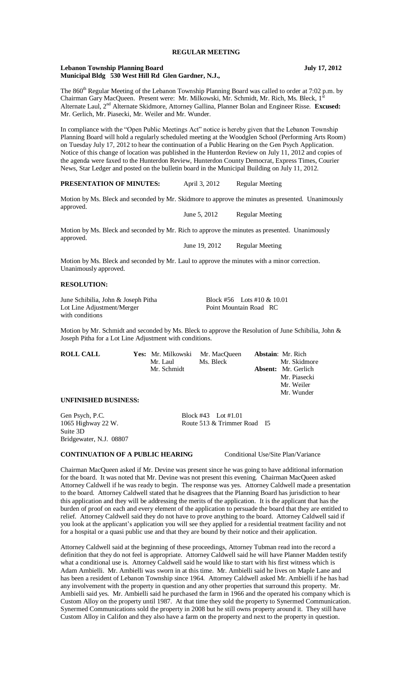# **REGULAR MEETING**

#### Lebanon Township Planning Board **July 17, 2012 Municipal Bldg 530 West Hill Rd Glen Gardner, N.J.,**

The 860<sup>th</sup> Regular Meeting of the Lebanon Township Planning Board was called to order at 7:02 p.m. by Chairman Gary MacQueen. Present were: Mr. Milkowski, Mr. Schmidt, Mr. Rich, Ms. Bleck, 1 Alternate Laul, 2nd Alternate Skidmore, Attorney Gallina, Planner Bolan and Engineer Risse. **Excused:** Mr. Gerlich, Mr. Piasecki, Mr. Weiler and Mr. Wunder.

In compliance with the "Open Public Meetings Act" notice is hereby given that the Lebanon Township Planning Board will hold a regularly scheduled meeting at the Woodglen School (Performing Arts Room) on Tuesday July 17, 2012 to hear the continuation of a Public Hearing on the Gen Psych Application. Notice of this change of location was published in the Hunterdon Review on July 11, 2012 and copies of the agenda were faxed to the Hunterdon Review, Hunterdon County Democrat, Express Times, Courier News, Star Ledger and posted on the bulletin board in the Municipal Building on July 11, 2012.

## **PRESENTATION OF MINUTES:** April 3, 2012 Regular Meeting

Motion by Ms. Bleck and seconded by Mr. Skidmore to approve the minutes as presented. Unanimously approved.

June 5, 2012 Regular Meeting

Motion by Ms. Bleck and seconded by Mr. Rich to approve the minutes as presented. Unanimously approved.

June 19, 2012 Regular Meeting

Motion by Ms. Bleck and seconded by Mr. Laul to approve the minutes with a minor correction. Unanimously approved.

### **RESOLUTION:**

June Schibilia, John & Joseph Pitha Block #56 Lots #10 & 10.01<br>
Lot Line Adiustment/Merger Point Mountain Road RC Lot Line Adjustment/Merger with conditions

Motion by Mr. Schmidt and seconded by Ms. Bleck to approve the Resolution of June Schibilia, John & Joseph Pitha for a Lot Line Adjustment with conditions.

| <b>ROLL CALL</b>            | <b>Yes:</b> Mr. Milkowski Mr. MacQueen |                     | <b>Abstain:</b> Mr. Rich   |
|-----------------------------|----------------------------------------|---------------------|----------------------------|
|                             | Mr. Laul                               | Ms. Bleck           | Mr. Skidmore               |
|                             | Mr. Schmidt                            |                     | <b>Absent:</b> Mr. Gerlich |
|                             |                                        |                     | Mr. Piasecki               |
|                             |                                        |                     | Mr. Weiler                 |
|                             |                                        |                     | Mr. Wunder                 |
| <b>UNFINISHED BUSINESS:</b> |                                        |                     |                            |
| Gen Psych, P.C.             |                                        | Block #43 Lot #1.01 |                            |

1065 Highway 22 W. Route 513 & Trimmer Road I5 Suite 3D Bridgewater, N.J. 08807

## **CONTINUATION OF A PUBLIC HEARING** Conditional Use/Site Plan/Variance

Chairman MacQueen asked if Mr. Devine was present since he was going to have additional information for the board. It was noted that Mr. Devine was not present this evening. Chairman MacQueen asked Attorney Caldwell if he was ready to begin. The response was yes. Attorney Caldwell made a presentation to the board. Attorney Caldwell stated that he disagrees that the Planning Board has jurisdiction to hear this application and they will be addressing the merits of the application. It is the applicant that has the burden of proof on each and every element of the application to persuade the board that they are entitled to relief. Attorney Caldwell said they do not have to prove anything to the board. Attorney Caldwell said if you look at the applicant's application you will see they applied for a residential treatment facility and not for a hospital or a quasi public use and that they are bound by their notice and their application.

Attorney Caldwell said at the beginning of these proceedings, Attorney Tubman read into the record a definition that they do not feel is appropriate. Attorney Caldwell said he will have Planner Madden testify what a conditional use is. Attorney Caldwell said he would like to start with his first witness which is Adam Ambielli. Mr. Ambielli was sworn in at this time. Mr. Ambielli said he lives on Maple Lane and has been a resident of Lebanon Township since 1964. Attorney Caldwell asked Mr. Ambielli if he has had any involvement with the property in question and any other properties that surround this property. Mr. Ambielli said yes. Mr. Ambielli said he purchased the farm in 1966 and the operated his company which is Custom Alloy on the property until 1987. At that time they sold the property to Synermed Communication. Synermed Communications sold the property in 2008 but he still owns property around it. They still have Custom Alloy in Califon and they also have a farm on the property and next to the property in question.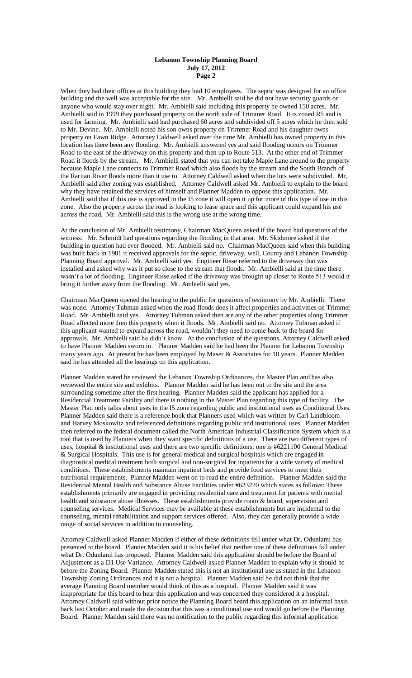When they had their offices at this building they had 10 employees. The septic was designed for an office building and the well was acceptable for the site. Mr. Ambielli said he did not have security guards or anyone who would stay over night. Mr. Ambielli said including this property he owned 150 acres. Mr. Ambielli said in 1999 they purchased property on the north side of Trimmer Road. It is zoned R5 and is used for farming. Mr. Ambielli said had purchased 60 acres and subdivided off 5 acres which he then sold to Mr. Devine. Mr. Ambielli noted his son owns property on Trimmer Road and his daughter owns property on Fawn Ridge. Attorney Caldwell asked over the time Mr. Ambielli has owned property in this location has there been any flooding. Mr. Ambielli answered yes and said flooding occurs on Trimmer Road to the east of the driveway on this property and then up to Route 513. At the other end of Trimmer Road it floods by the stream. Mr. Ambielli stated that you can not take Maple Lane around to the property because Maple Lane connects to Trimmer Road which also floods by the stream and the South Branch of the Raritan River floods more than it use to. Attorney Caldwell asked when the lots were subdivided. Mr. Ambielli said after zoning was established. Attorney Caldwell asked Mr. Ambielli to explain to the board why they have retained the services of himself and Planner Madden to oppose this application. Mr. Ambielli said that if this use is approved in the I5 zone it will open it up for more of this type of use in this zone. Also the property across the road is looking to lease space and this applicant could expand his use across the road. Mr. Ambielli said this is the wrong use at the wrong time.

At the conclusion of Mr. Ambielli testimony, Chairman MacQueen asked if the board had questions of the witness. Mr. Schmidt had questions regarding the flooding in that area. Mr. Skidmore asked if the building in question had ever flooded. Mr. Ambielli said no. Chairman MacQueen said when this building was built back in 1981 it received approvals for the septic, driveway, well, County and Lebanon Township Planning Board approval. Mr. Ambielli said yes. Engineer Risse referred to the driveway that was installed and asked why was it put so close to the stream that floods. Mr. Ambielli said at the time there wasn't a lot of flooding. Engineer Risse asked if the driveway was brought up closer to Route 513 would it bring it further away from the flooding. Mr. Ambielli said yes.

Chairman MacQueen opened the hearing to the public for questions of testimony by Mr. Ambielli. There was none. Attorney Tubman asked when the road floods does it affect properties and activities on Trimmer Road. Mr. Ambielli said yes. Attorney Tubman asked then are any of the other properties along Trimmer Road affected more then this property when it floods. Mr. Ambielli said no. Attorney Tubman asked if this applicant wanted to expand across the road, wouldn't they need to come back to the board for approvals. Mr. Ambielli said he didn't know. At the conclusion of the questions, Attorney Caldwell asked to have Planner Madden sworn in. Planner Madden said he had been the Planner for Lebanon Township many years ago. At present he has been employed by Maser & Associates for 10 years. Planner Madden said he has attended all the hearings on this application.

Planner Madden stated he reviewed the Lebanon Township Ordinances, the Master Plan and has also reviewed the entire site and exhibits. Planner Madden said he has been out to the site and the area surrounding sometime after the first hearing. Planner Madden said the applicant has applied for a Residential Treatment Facility and there is nothing in the Master Plan regarding this type of facility. The Master Plan only talks about uses in the I5 zone regarding public and institutional uses as Conditional Uses. Planner Madden said there is a reference book that Planners used which was written by Carl Lindbloom and Harvey Moskowitz and referenced definitions regarding public and institutional uses. Planner Madden then referred to the federal document called the North American Industrial Classification System which is a tool that is used by Planners when they want specific definitions of a use. There are two different types of uses, hospital & institutional uses and there are two specific definitions; one is #6221100 General Medical & Surgical Hospitals. This use is for general medical and surgical hospitals which are engaged in diagnostical medical treatment both surgical and non-surgical for inpatients for a wide variety of medical conditions. These establishments maintain inpatient beds and provide food services to meet their nutritional requirements. Planner Madden went on to read the entire definition. Planner Madden said the Residential Mental Health and Substance Abuse Facilities under #623220 which states as follows: These establishments primarily are engaged in providing residential care and treatment for patients with mental health and substance abuse illnesses. These establishments provide room & board, supervision and counseling services. Medical Services may be available at these establishments but are incidental to the counseling, mental rehabilitation and support services offered. Also, they can generally provide a wide range of social services in addition to counseling.

Attorney Caldwell asked Planner Madden if either of these definitions fell under what Dr. Odunlami has presented to the board. Planner Madden said it is his belief that neither one of these definitions fall under what Dr. Odunlami has proposed. Planner Madden said this application should be before the Board of Adjustment as a D1 Use Variance. Attorney Caldwell asked Planner Madden to explain why it should be before the Zoning Board. Planner Madden stated this is not an institutional use as stated in the Lebanon Township Zoning Ordinances and it is not a hospital. Planner Madden said he did not think that the average Planning Board member would think of this as a hospital. Planner Madden said it was inappropriate for this board to hear this application and was concerned they considered it a hospital. Attorney Caldwell said without prior notice the Planning Board heard this application on an informal basis back last October and made the decision that this was a conditional use and would go before the Planning Board. Planner Madden said there was no notification to the public regarding this informal application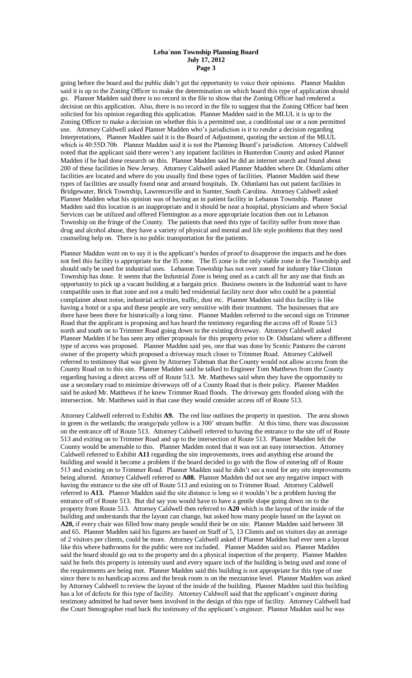going before the board and the public didn't get the opportunity to voice their opinions. Planner Madden said it is up to the Zoning Officer to make the determination on which board this type of application should go. Planner Madden said there is no record in the file to show that the Zoning Officer had rendered a decision on this application. Also, there is no record in the file to suggest that the Zoning Officer had been solicited for his opinion regarding this application. Planner Madden said in the MLUL it is up to the Zoning Officer to make a decision on whether this is a permitted use, a conditional use or a non permitted use. Attorney Caldwell asked Planner Madden who's jurisdiction is it to render a decision regarding Interpretations, Planner Madden said it is the Board of Adjustment, quoting the section of the MLUL which is 40:55D.70b. Planner Madden said it is not the Planning Board's jurisdiction. Attorney Caldwell noted that the applicant said there weren't any inpatient facilities in Hunterdon County and asked Planner Madden if he had done research on this. Planner Madden said he did an internet search and found about 200 of these facilities in New Jersey. Attorney Caldwell asked Planner Madden where Dr. Odunlami other facilities are located and where do you usually find these types of facilities. Planner Madden said these types of facilities are usually found near and around hospitals. Dr. Odunlami has out patient facilities in Bridgewater, Brick Township, Lawrenceville and in Sumter, South Carolina. Attorney Caldwell asked Planner Madden what his opinion was of having an in patient facility in Lebanon Township. Planner Madden said this location is an inappropriate and it should be near a hospital, physicians and where Social Services can be utilized and offered Flemington as a more appropriate location then out in Lebanon Township on the fringe of the County. The patients that need this type of facility suffer from more than drug and alcohol abuse, they have a variety of physical and mental and life style problems that they need counseling help on. There is no public transportation for the patients.

Planner Madden went on to say it is the applicant's burden of proof to disapprove the impacts and he does not feel this facility is appropriate for the I5 zone. The I5 zone is the only viable zone in the Township and should only be used for industrial uses. Lebanon Township has not over zoned for industry like Clinton Township has done. It seems that the Industrial Zone is being used as a catch all for any use that finds an opportunity to pick up a vacant building at a bargain price. Business owners in the Industrial want to have compatible uses in that zone and not a multi bed residential facility next door who could be a potential complainer about noise, industrial activities, traffic, dust etc. Planner Madden said this facility is like having a hotel or a spa and these people are very sensitive with their treatment. The businesses that are there have been there for historically a long time. Planner Madden referred to the second sign on Trimmer Road that the applicant is proposing and has heard the testimony regarding the access off of Route 513 north and south on to Trimmer Road going down to the existing driveway. Attorney Caldwell asked Planner Madden if he has seen any other proposals for this property prior to Dr. Odunlami where a different type of access was proposed. Planner Madden said yes, one that was done by Scenic Pastures the current owner of the property which proposed a driveway much closer to Trimmer Road. Attorney Caldwell referred to testimony that was given by Attorney Tubman that the County would not allow access from the County Road on to this site. Planner Madden said he talked to Engineer Tom Matthews from the County regarding having a direct access off of Route 513. Mr. Matthews said when they have the opportunity to use a secondary road to minimize driveways off of a County Road that is their policy. Planner Madden said he asked Mr. Matthews if he knew Trimmer Road floods. The driveway gets flooded along with the intersection. Mr. Matthews said in that case they would consider access off of Route 513.

Attorney Caldwell referred to Exhibit **A9.** The red line outlines the property in question. The area shown in green is the wetlands; the orange/pale yellow is a 300' stream buffer. At this time, there was discussion on the entrance off of Route 513. Attorney Caldwell referred to having the entrance to the site off of Route 513 and exiting on to Trimmer Road and up to the intersection of Route 513. Planner Madden felt the County would be amenable to this. Planner Madden noted that it was not an easy intersection. Attorney Caldwell referred to Exhibit **A11** regarding the site improvements, trees and anything else around the building and would it become a problem if the board decided to go with the flow of entering off of Route 513 and existing on to Trimmer Road. Planner Madden said he didn't see a need for any site improvements being altered. Attorney Caldwell referred to **A08.** Planner Madden did not see any negative impact with having the entrance to the site off of Route 513 and existing on to Trimmer Road. Attorney Caldwell referred to **A13.** Planner Madden said the site distance is long so it wouldn't be a problem having the entrance off of Route 513. But did say you would have to have a gentle slope going down on to the property from Route 513. Attorney Caldwell then referred to **A20** which is the layout of the inside of the building and understands that the layout can change, but asked how many people based on the layout on **A20,** if every chair was filled how many people would their be on site. Planner Madden said between 38 and 65. Planner Madden said his figures are based on Staff of 5, 13 Clients and on visitors day an average of 2 visitors per clients, could be more. Attorney Caldwell asked if Planner Madden had ever seen a layout like this where bathrooms for the public were not included. Planner Madden said no. Planner Madden said the board should go out to the property and do a physical inspection of the property. Planner Madden said he feels this property is intensity used and every square inch of the building is being used and none of the requirements are being met. Planner Madden said this building is not appropriate for this type of use since there is no handicap access and the break room is on the mezzanine level. Planner Madden was asked by Attorney Caldwell to review the layout of the inside of the building. Planner Madden said this building has a lot of defects for this type of facility. Attorney Caldwell said that the applicant's engineer during testimony admitted he had never been involved in the design of this type of facility. Attorney Caldwell had the Court Stenographer read back the testimony of the applicant's engineer. Planner Madden said he was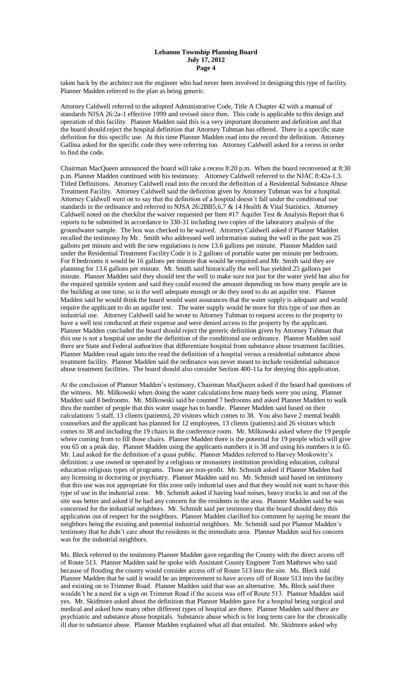taken back by the architect not the engineer who had never been involved in designing this type of facility. Planner Madden referred to the plan as being generic.

Attorney Caldwell referred to the adopted Administrative Code, Title A Chapter 42 with a manual of standards NJSA 26:2a-1 effective 1999 and revised since then. This code is applicable to this design and operation of this facility. Planner Madden said this is a very important document and definition and that the board should reject the hospital definition that Attorney Tubman has offered. There is a specific state definition for this specific use. At this time Planner Madden read into the record the definition. Attorney Gallina asked for the specific code they were referring too. Attorney Caldwell asked for a recess in order to find the code.

Chairman MacQueen announced the board will take a recess 8:20 p.m. When the board reconvened at 8:30 p.m. Planner Madden continued with his testimony. Attorney Caldwell referred to the NJAC 8:42a-1.3. Titled Definitions. Attorney Caldwell read into the record the definition of a Residential Substance Abuse Treatment Facility. Attorney Caldwell said the definition given by Attorney Tubman was for a hospital. Attorney Caldwell went on to say that the definition of a hospital doesn't fall under the conditional use standards in the ordinance and referred to NJSA 26:2BB5,6,7 & 14 Health & Vital Statistics. Attorney Caldwell noted on the checklist the waiver requested per Item #17 Aquifer Test & Analysis Report that 6 reports to be submitted in accordance to 330-31 including two copies of the laboratory analysis of the groundwater sample. The box was checked to be waived. Attorney Caldwell asked if Planner Madden recalled the testimony by Mr. Smith who addressed well information stating the well in the past was 25 gallons per minute and with the new regulations is now 13.6 gallons per minute. Planner Madden said under the Residential Treatment Facility Code it is 2 gallons of portable water per minute per bedroom. For 8 bedrooms it would be 16 gallons per minute that would be required and Mr. Smith said they are planning for 13.6 gallons per minute. Mr. Smith said historically the well has yielded 25 gallons per minute. Planner Madden said they should test the well to make sure not just for the water yield but also for the required sprinkle system and said they could exceed the amount depending on how many people are in the building at one time, so is the well adequate enough or do they need to do an aquifer test. Planner Madden said he would think the board would want assurances that the water supply is adequate and would require the applicant to do an aquifer test. The water supply would be more for this type of use then an industrial use. Attorney Caldwell said he wrote to Attorney Tubman to request access to the property to have a well test conducted at their expense and were denied access to the property by the applicant. Planner Madden concluded the board should reject the generic definition given by Attorney Tubman that this use is not a hospital use under the definition of the conditional use ordinance. Planner Madden said there are State and Federal authorities that differentiate hospital from substance abuse treatment facilities. Planner Madden read again into the read the definition of a hospital versus a residential substance abuse treatment facility. Planner Madden said the ordinance was never meant to include residential substance abuse treatment facilities. The board should also consider Section 400-11a for denying this application.

At the conclusion of Planner Madden's testimony, Chairman MacQueen asked if the board had questions of the witness. Mr. Milkowski when doing the water calculations how many beds were you using. Planner Madden said 8 bedrooms. Mr. Milkowski said he counted 7 bedrooms and asked Planner Madden to walk thru the number of people that this water usage has to handle. Planner Madden said based on their calculations: 5 staff, 13 clients (patients), 20 visitors which comes to 38. You also have 2 mental health counselors and the applicant has planned for 12 employees, 13 clients (patients) and 26 visitors which comes to 38 and including the 19 chairs in the conference room. Mr. Milkowski asked where the 19 people where coming from to fill those chairs. Planner Madden there is the potential for 19 people which will give you 65 on a peak day. Planner Madden using the applicants numbers it is 38 and using his numbers it is 65. Mr. Laul asked for the definition of a quasi public. Planner Madden referred to Harvey Moskowitz's definition: a use owned or operated by a religious or monastery institution providing education, cultural education religious types of programs. Those are non-profit. Mr. Schmidt asked if Planner Madden had any licensing in doctoring or psychiatry. Planner Madden said no. Mr. Schmidt said based on testimony that this use was not appropriate for this zone only industrial uses and that they would not want to have this type of use in the industrial zone. Mr. Schmidt asked if having loud noises, heavy trucks in and out of the site was better and asked if he had any concern for the residents in the area. Planner Madden said he was concerned for the industrial neighbors. Mr. Schmidt said per testimony that the board should deny this application out of respect for the neighbors. Planner Madden clarified his comment by saying he meant the neighbors being the existing and potential industrial neighbors. Mr. Schmidt said per Planner Madden's testimony that he didn't care about the residents in the immediate area. Planner Madden said his concern was for the industrial neighbors.

Ms. Bleck referred to the testimony Planner Madden gave regarding the County with the direct access off of Route 513. Planner Madden said he spoke with Assistant County Engineer Tom Mathews who said because of flooding the county would consider access off of Route 513 into the site. Ms. Bleck told Planner Madden that he said it would be an improvement to have access off of Route 513 into the facility and existing on to Trimmer Road. Planner Madden said that was an alternative. Ms. Bleck said there wouldn't be a need for a sign on Trimmer Road if the access was off of Route 513. Planner Madden said yes. Mr. Skidmore asked about the definition that Planner Madden gave for a hospital being surgical and medical and asked how many other different types of hospital are there. Planner Madden said there are psychiatric and substance abuse hospitals. Substance abuse which is for long term care for the chronically ill due to substance abuse. Planner Madden explained what all that entailed. Mr. Skidmore asked why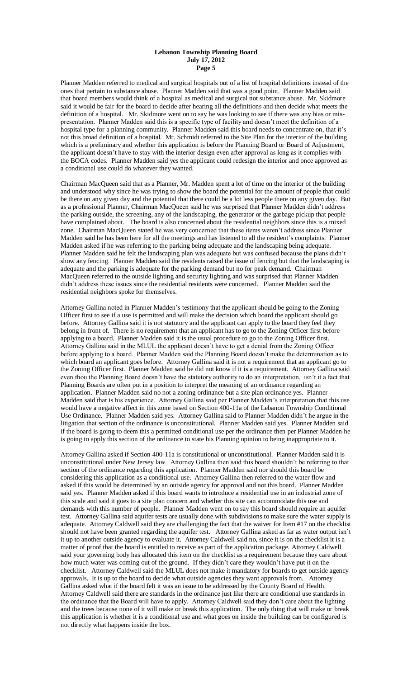Planner Madden referred to medical and surgical hospitals out of a list of hospital definitions instead of the ones that pertain to substance abuse. Planner Madden said that was a good point. Planner Madden said that board members would think of a hospital as medical and surgical not substance abuse. Mr. Skidmore said it would be fair for the board to decide after hearing all the definitions and then decide what meets the definition of a hospital. Mr. Skidmore went on to say he was looking to see if there was any bias or mispresentation. Planner Madden said this is a specific type of facility and doesn't meet the definition of a hospital type for a planning community. Planner Madden said this board needs to concentrate on, that it's not this broad definition of a hospital. Mr. Schmidt referred to the Site Plan for the interior of the building which is a preliminary and whether this application is before the Planning Board or Board of Adjustment, the applicant doesn't have to stay with the interior design even after approval as long as it complies with the BOCA codes. Planner Madden said yes the applicant could redesign the interior and once approved as a conditional use could do whatever they wanted.

Chairman MacQueen said that as a Planner, Mr. Madden spent a lot of time on the interior of the building and understood why since he was trying to show the board the potential for the amount of people that could be there on any given day and the potential that there could be a lot less people there on any given day. But as a professional Planner, Chairman MacQueen said he was surprised that Planner Madden didn't address the parking outside, the screening, any of the landscaping, the generator or the garbage pickup that people have complained about. The board is also concerned about the residential neighbors since this is a mixed zone. Chairman MacQueen stated he was very concerned that these items weren't address since Planner Madden said he has been here for all the meetings and has listened to all the resident's complaints. Planner Madden asked if he was referring to the parking being adequate and the landscaping being adequate. Planner Madden said he felt the landscaping plan was adequate but was confused because the plans didn't show any fencing. Planner Madden said the residents raised the issue of fencing but that the landscaping is adequate and the parking is adequate for the parking demand but no for peak demand. Chairman MacQueen referred to the outside lighting and security lighting and was surprised that Planner Madden didn't address these issues since the residential residents were concerned. Planner Madden said the residential neighbors spoke for themselves.

Attorney Gallina noted in Planner Madden's testimony that the applicant should be going to the Zoning Officer first to see if a use is permitted and will make the decision which board the applicant should go before. Attorney Gallina said it is not statutory and the applicant can apply to the board they feel they belong in front of. There is no requirement that an applicant has to go to the Zoning Officer first before applying to a board. Planner Madden said it is the usual procedure to go to the Zoning Officer first. Attorney Gallina said in the MLUL the applicant doesn't have to get a denial from the Zoning Officer before applying to a board. Planner Madden said the Planning Board doesn't make the determination as to which board an applicant goes before. Attorney Gallina said it is not a requirement that an applicant go to the Zoning Officer first. Planner Madden said he did not know if it is a requirement. Attorney Gallina said even thou the Planning Board doesn't have the statutory authority to do an interpretation, isn't it a fact that Planning Boards are often put in a position to interpret the meaning of an ordinance regarding an application. Planner Madden said no not a zoning ordinance but a site plan ordinance yes. Planner Madden said that is his experience. Attorney Gallina said per Planner Madden's interpretation that this use would have a negative affect in this zone based on Section 400-11a of the Lebanon Township Conditional Use Ordinance. Planner Madden said yes. Attorney Gallina said to Planner Madden didn't he argue in the litigation that section of the ordinance is unconstitutional. Planner Madden said yes. Planner Madden said if the board is going to deem this a permitted conditional use per the ordinance then per Planner Madden he is going to apply this section of the ordinance to state his Planning opinion to being inappropriate to it.

Attorney Gallina asked if Section 400-11a is constitutional or unconstitutional. Planner Madden said it is unconstitutional under New Jersey law. Attorney Gallina then said this board shouldn't be referring to that section of the ordinance regarding this application. Planner Madden said nor should this board be considering this application as a conditional use. Attorney Gallina then referred to the water flow and asked if this would be determined by an outside agency for approval and not this board. Planner Madden said yes. Planner Madden asked if this board wants to introduce a residential use in an industrial zone of this scale and said it goes to a site plan concern and whether this site can accommodate this use and demands with this number of people. Planner Madden went on to say this board should require an aquifer test. Attorney Gallina said aquifer tests are usually done with subdivisions to make sure the water supply is adequate. Attorney Caldwell said they are challenging the fact that the waiver for Item #17 on the checklist should not have been granted regarding the aquifer test. Attorney Gallina asked as far as water output isn't it up to another outside agency to evaluate it. Attorney Caldwell said no, since it is on the checklist it is a matter of proof that the board is entitled to receive as part of the application package. Attorney Caldwell said your governing body has allocated this item on the checklist as a requirement because they care about how much water was coming out of the ground. If they didn't care they wouldn't have put it on the checklist. Attorney Caldwell said the MLUL does not make it mandatory for boards to get outside agency approvals. It is up to the board to decide what outside agencies they want approvals from. Attorney Gallina asked what if the board felt it was an issue to be addressed by the County Board of Health. Attorney Caldwell said there are standards in the ordinance just like there are conditional use standards in the ordinance that the Board will have to apply. Attorney Caldwell said they don't care about the lighting and the trees because none of it will make or break this application. The only thing that will make or break this application is whether it is a conditional use and what goes on inside the building can be configured is not directly what happens inside the box.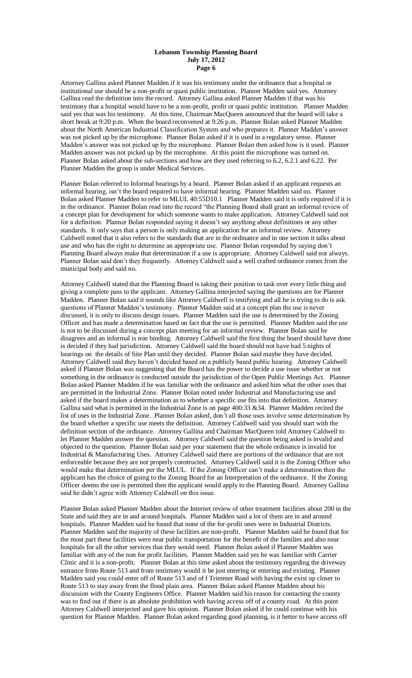Attorney Gallina asked Planner Madden if it was his testimony under the ordinance that a hospital or institutional use should be a non-profit or quasi public institution. Planner Madden said yes. Attorney Gallina read the definition into the record. Attorney Gallina asked Planner Madden if that was his testimony that a hospital would have to be a non-profit, profit or quasi public institution. Planner Madden said yes that was his testimony. At this time, Chairman MacQueen announced that the board will take a short break at 9:20 p.m. When the board reconvened at 9:26 p.m. Planner Bolan asked Planner Madden about the North American Industrial Classification System and who prepares it. Planner Madden's answer was not picked up by the microphone. Planner Bolan asked if it is used in a regulatory sense. Planner Madden's answer was not picked up by the microphone. Planner Bolan then asked how is it used. Planner Madden answer was not picked up by the microphone. At this point the microphone was turned on. Planner Bolan asked about the sub-sections and how are they used referring to 6.2, 6.2.1 and 6.22. Per Planner Madden the group is under Medical Services.

Planner Bolan referred to Informal hearings by a board. Planner Bolan asked if an applicant requests an informal hearing, isn't the board required to have informal hearing. Planner Madden said no. Planner Bolan asked Planner Madden to refer to MLUL 40:55D10.1 Planner Madden said it is only required if it is in the ordinance. Planner Bolan read into the record "the Planning Board shall grant an informal review of a concept plan for development for which someone wants to make application. Attorney Caldwell said not for a definition. Planner Bolan responded saying it doesn't say anything about definitions or any other standards. It only says that a person is only making an application for an informal review. Attorney Caldwell noted that it also refers to the standards that are in the ordinance and in one section it talks about use and who has the right to determine an appropriate use. Planner Bolan responded by saying don't Planning Board always make that determination if a use is appropriate. Attorney Caldwell said not always. Planner Bolan said don't they frequently. Attorney Caldwell said a well crafted ordinance comes from the municipal body and said no.

Attorney Caldwell stated that the Planning Board is taking their position to task over every little thing and giving a complete pass to the applicant. Attorney Gallina interjected saying the questions are for Planner Madden. Planner Bolan said it sounds like Attorney Caldwell is testifying and all he is trying to do is ask questions of Planner Madden's testimony. Planner Madden said at a concept plan the use is never discussed, it is only to discuss design issues. Planner Madden said the use is determined by the Zoning Officer and has made a determination based on fact that the use is permitted. Planner Madden said the use is not to be discussed during a concept plan meeting for an informal review. Planner Bolan said he disagrees and an informal is non binding. Attorney Caldwell said the first thing the board should have done is decided if they had jurisdiction. Attorney Caldwell said the board should not have had 5 nights of hearings on the details of Site Plan until they decided. Planner Bolan said maybe they have decided. Attorney Caldwell said they haven't decided based on a publicly based public hearing. Attorney Caldwell asked if Planner Bolan was suggesting that the Board has the power to decide a use issue whether or not something in the ordinance is conducted outside the jurisdiction of the Open Public Meetings Act. Planner Bolan asked Planner Madden if he was familiar with the ordinance and asked him what the other uses that are permitted in the Industrial Zone. Planner Bolan noted under Industrial and Manufacturing use and asked if the board makes a determination as to whether a specific use fits into that definition. Attorney Gallina said what is permitted in the Industrial Zone is on page 400:33 &34. Planner Madden recited the list of uses in the Industrial Zone. Planner Bolan asked, don't all those uses involve some determination by the board whether a specific use meets the definition. Attorney Caldwell said you should start with the definition section of the ordinance. Attorney Gallina and Chairman MacQueen told Attorney Caldwell to let Planner Madden answer the question. Attorney Caldwell said the question being asked is invalid and objected to the question. Planner Bolan said per your statement that the whole ordinance is invalid for Industrial & Manufacturing Uses. Attorney Caldwell said there are portions of the ordinance that are not enforceable because they are not properly constructed. Attorney Caldwell said it is the Zoning Officer who would make that determination per the MLUL. If the Zoning Officer can't make a determination then the applicant has the choice of going to the Zoning Board for an Interpretation of the ordinance. If the Zoning Officer deems the use is permitted then the applicant would apply to the Planning Board. Attorney Gallina said he didn't agree with Attorney Caldwell on this issue.

Planner Bolan asked Planner Madden about the Internet review of other treatment facilities about 200 in the State and said they are in and around hospitals. Planner Madden said a lot of them are in and around hospitals. Planner Madden said he found that none of the for-profit ones were in Industrial Districts. Planner Madden said the majority of these facilities are non-profit. Planner Madden said he found that for the most part these facilities were near public transportation for the benefit of the families and also near hospitals for all the other services that they would need. Planner Bolan asked if Planner Madden was familiar with any of the non for profit facilities. Planner Madden said yes he was familiar with Carrier Clinic and it is a non-profit. Planner Bolan at this time asked about the testimony regarding the driveway entrance from Route 513 and from testimony would it be just entering or entering and existing. Planner Madden said you could enter off of Route 513 and of f Trimmer Road with having the exist up closer to Route 513 to stay away from the flood plain area. Planner Bolan asked Planner Madden about his discussion with the County Engineers Office. Planner Madden said his reason for contacting the county was to find out if there is an absolute prohibition with having access off of a county road. At this point Attorney Caldwell interjected and gave his opinion. Planner Bolan asked if he could continue with his question for Planner Madden. Planner Bolan asked regarding good planning, is it better to have access off